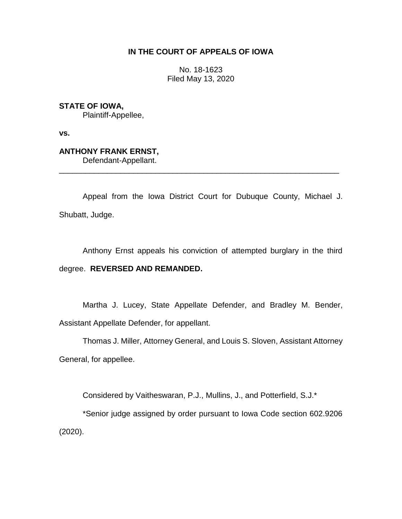# **IN THE COURT OF APPEALS OF IOWA**

No. 18-1623 Filed May 13, 2020

**STATE OF IOWA,**

Plaintiff-Appellee,

**vs.**

# **ANTHONY FRANK ERNST,**

Defendant-Appellant.

Appeal from the Iowa District Court for Dubuque County, Michael J. Shubatt, Judge.

\_\_\_\_\_\_\_\_\_\_\_\_\_\_\_\_\_\_\_\_\_\_\_\_\_\_\_\_\_\_\_\_\_\_\_\_\_\_\_\_\_\_\_\_\_\_\_\_\_\_\_\_\_\_\_\_\_\_\_\_\_\_\_\_

Anthony Ernst appeals his conviction of attempted burglary in the third degree. **REVERSED AND REMANDED.**

Martha J. Lucey, State Appellate Defender, and Bradley M. Bender, Assistant Appellate Defender, for appellant.

Thomas J. Miller, Attorney General, and Louis S. Sloven, Assistant Attorney General, for appellee.

Considered by Vaitheswaran, P.J., Mullins, J., and Potterfield, S.J.\*

\*Senior judge assigned by order pursuant to Iowa Code section 602.9206 (2020).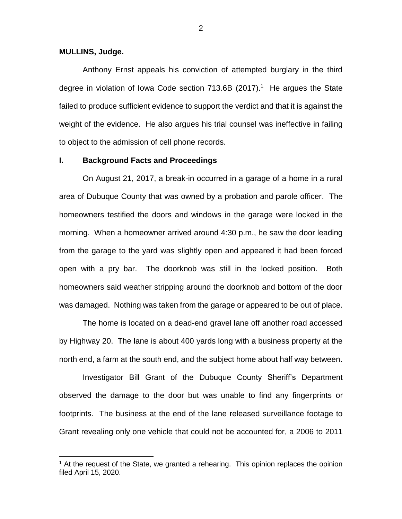# **MULLINS, Judge.**

 $\overline{a}$ 

Anthony Ernst appeals his conviction of attempted burglary in the third degree in violation of Iowa Code section  $713.6B$  (2017).<sup>1</sup> He argues the State failed to produce sufficient evidence to support the verdict and that it is against the weight of the evidence. He also argues his trial counsel was ineffective in failing to object to the admission of cell phone records.

## **I. Background Facts and Proceedings**

On August 21, 2017, a break-in occurred in a garage of a home in a rural area of Dubuque County that was owned by a probation and parole officer. The homeowners testified the doors and windows in the garage were locked in the morning. When a homeowner arrived around 4:30 p.m., he saw the door leading from the garage to the yard was slightly open and appeared it had been forced open with a pry bar. The doorknob was still in the locked position. Both homeowners said weather stripping around the doorknob and bottom of the door was damaged. Nothing was taken from the garage or appeared to be out of place.

The home is located on a dead-end gravel lane off another road accessed by Highway 20. The lane is about 400 yards long with a business property at the north end, a farm at the south end, and the subject home about half way between.

Investigator Bill Grant of the Dubuque County Sheriff's Department observed the damage to the door but was unable to find any fingerprints or footprints. The business at the end of the lane released surveillance footage to Grant revealing only one vehicle that could not be accounted for, a 2006 to 2011

 $<sup>1</sup>$  At the request of the State, we granted a rehearing. This opinion replaces the opinion</sup> filed April 15, 2020.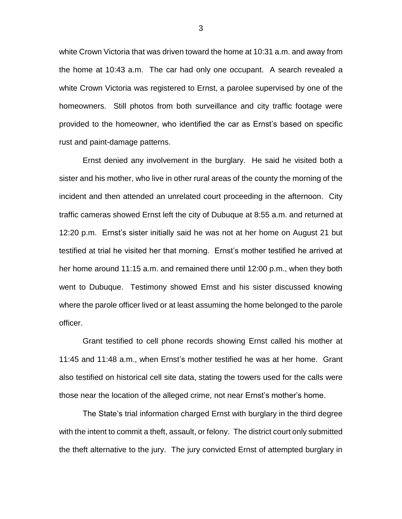white Crown Victoria that was driven toward the home at 10:31 a.m. and away from the home at 10:43 a.m. The car had only one occupant. A search revealed a white Crown Victoria was registered to Ernst, a parolee supervised by one of the homeowners. Still photos from both surveillance and city traffic footage were provided to the homeowner, who identified the car as Ernst's based on specific rust and paint-damage patterns.

Ernst denied any involvement in the burglary. He said he visited both a sister and his mother, who live in other rural areas of the county the morning of the incident and then attended an unrelated court proceeding in the afternoon. City traffic cameras showed Ernst left the city of Dubuque at 8:55 a.m. and returned at 12:20 p.m. Ernst's sister initially said he was not at her home on August 21 but testified at trial he visited her that morning. Ernst's mother testified he arrived at her home around 11:15 a.m. and remained there until 12:00 p.m., when they both went to Dubuque. Testimony showed Ernst and his sister discussed knowing where the parole officer lived or at least assuming the home belonged to the parole officer.

Grant testified to cell phone records showing Ernst called his mother at 11:45 and 11:48 a.m., when Ernst's mother testified he was at her home. Grant also testified on historical cell site data, stating the towers used for the calls were those near the location of the alleged crime, not near Ernst's mother's home.

The State's trial information charged Ernst with burglary in the third degree with the intent to commit a theft, assault, or felony. The district court only submitted the theft alternative to the jury. The jury convicted Ernst of attempted burglary in

3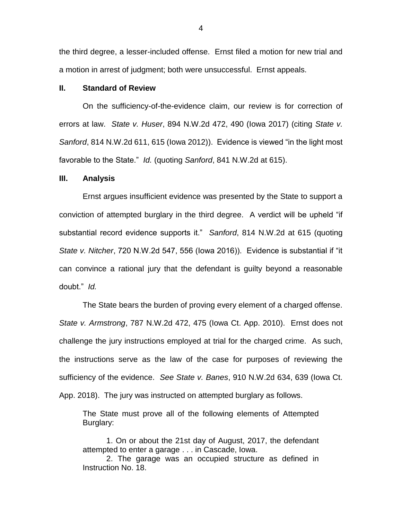the third degree, a lesser-included offense. Ernst filed a motion for new trial and a motion in arrest of judgment; both were unsuccessful. Ernst appeals.

# **II. Standard of Review**

On the sufficiency-of-the-evidence claim, our review is for correction of errors at law. *State v. Huser*, 894 N.W.2d 472, 490 (Iowa 2017) (citing *State v. Sanford*, 814 N.W.2d 611, 615 (Iowa 2012)). Evidence is viewed "in the light most favorable to the State." *Id.* (quoting *Sanford*, 841 N.W.2d at 615).

#### **III. Analysis**

Ernst argues insufficient evidence was presented by the State to support a conviction of attempted burglary in the third degree. A verdict will be upheld "if substantial record evidence supports it." *Sanford*, 814 N.W.2d at 615 (quoting *State v. Nitcher*, 720 N.W.2d 547, 556 (Iowa 2016)). Evidence is substantial if "it can convince a rational jury that the defendant is guilty beyond a reasonable doubt." *Id.*

The State bears the burden of proving every element of a charged offense. *State v. Armstrong*, 787 N.W.2d 472, 475 (Iowa Ct. App. 2010). Ernst does not challenge the jury instructions employed at trial for the charged crime. As such, the instructions serve as the law of the case for purposes of reviewing the sufficiency of the evidence. *See State v. Banes*, 910 N.W.2d 634, 639 (Iowa Ct. App. 2018). The jury was instructed on attempted burglary as follows.

The State must prove all of the following elements of Attempted Burglary:

1. On or about the 21st day of August, 2017, the defendant attempted to enter a garage . . . in Cascade, Iowa.

2. The garage was an occupied structure as defined in Instruction No. 18.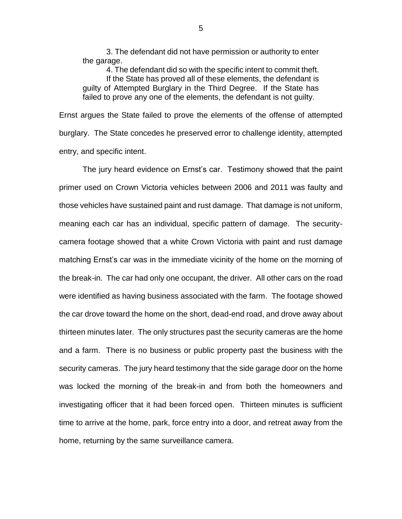3. The defendant did not have permission or authority to enter the garage.

4. The defendant did so with the specific intent to commit theft. If the State has proved all of these elements, the defendant is guilty of Attempted Burglary in the Third Degree. If the State has failed to prove any one of the elements, the defendant is not guilty.

Ernst argues the State failed to prove the elements of the offense of attempted burglary. The State concedes he preserved error to challenge identity, attempted entry, and specific intent.

The jury heard evidence on Ernst's car. Testimony showed that the paint primer used on Crown Victoria vehicles between 2006 and 2011 was faulty and those vehicles have sustained paint and rust damage. That damage is not uniform, meaning each car has an individual, specific pattern of damage. The securitycamera footage showed that a white Crown Victoria with paint and rust damage matching Ernst's car was in the immediate vicinity of the home on the morning of the break-in. The car had only one occupant, the driver. All other cars on the road were identified as having business associated with the farm. The footage showed the car drove toward the home on the short, dead-end road, and drove away about thirteen minutes later. The only structures past the security cameras are the home and a farm. There is no business or public property past the business with the security cameras. The jury heard testimony that the side garage door on the home was locked the morning of the break-in and from both the homeowners and investigating officer that it had been forced open. Thirteen minutes is sufficient time to arrive at the home, park, force entry into a door, and retreat away from the home, returning by the same surveillance camera.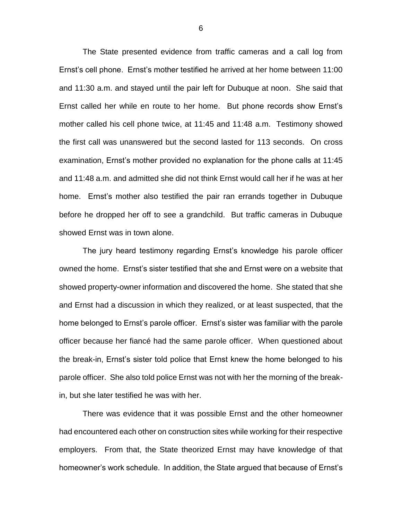The State presented evidence from traffic cameras and a call log from Ernst's cell phone. Ernst's mother testified he arrived at her home between 11:00 and 11:30 a.m. and stayed until the pair left for Dubuque at noon. She said that Ernst called her while en route to her home. But phone records show Ernst's mother called his cell phone twice, at 11:45 and 11:48 a.m. Testimony showed the first call was unanswered but the second lasted for 113 seconds. On cross examination, Ernst's mother provided no explanation for the phone calls at 11:45 and 11:48 a.m. and admitted she did not think Ernst would call her if he was at her home. Ernst's mother also testified the pair ran errands together in Dubuque before he dropped her off to see a grandchild. But traffic cameras in Dubuque showed Ernst was in town alone.

The jury heard testimony regarding Ernst's knowledge his parole officer owned the home. Ernst's sister testified that she and Ernst were on a website that showed property-owner information and discovered the home. She stated that she and Ernst had a discussion in which they realized, or at least suspected, that the home belonged to Ernst's parole officer. Ernst's sister was familiar with the parole officer because her fiancé had the same parole officer. When questioned about the break-in, Ernst's sister told police that Ernst knew the home belonged to his parole officer. She also told police Ernst was not with her the morning of the breakin, but she later testified he was with her.

There was evidence that it was possible Ernst and the other homeowner had encountered each other on construction sites while working for their respective employers. From that, the State theorized Ernst may have knowledge of that homeowner's work schedule. In addition, the State argued that because of Ernst's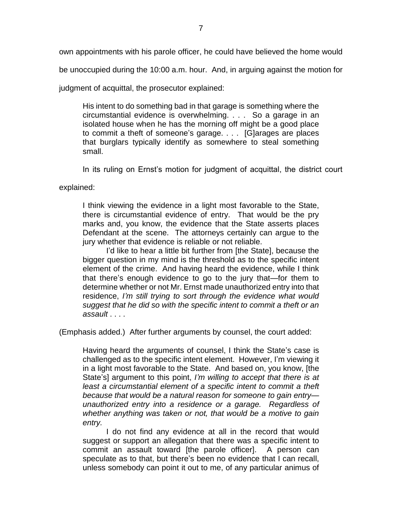own appointments with his parole officer, he could have believed the home would

be unoccupied during the 10:00 a.m. hour. And, in arguing against the motion for

judgment of acquittal, the prosecutor explained:

His intent to do something bad in that garage is something where the circumstantial evidence is overwhelming. . . . So a garage in an isolated house when he has the morning off might be a good place to commit a theft of someone's garage. . . . [G]arages are places that burglars typically identify as somewhere to steal something small.

In its ruling on Ernst's motion for judgment of acquittal, the district court

explained:

I think viewing the evidence in a light most favorable to the State, there is circumstantial evidence of entry. That would be the pry marks and, you know, the evidence that the State asserts places Defendant at the scene. The attorneys certainly can argue to the jury whether that evidence is reliable or not reliable.

I'd like to hear a little bit further from [the State], because the bigger question in my mind is the threshold as to the specific intent element of the crime. And having heard the evidence, while I think that there's enough evidence to go to the jury that—for them to determine whether or not Mr. Ernst made unauthorized entry into that residence, *I'm still trying to sort through the evidence what would suggest that he did so with the specific intent to commit a theft or an assault* . . . .

(Emphasis added.) After further arguments by counsel, the court added:

Having heard the arguments of counsel, I think the State's case is challenged as to the specific intent element. However, I'm viewing it in a light most favorable to the State. And based on, you know, [the State's] argument to this point, *I'm willing to accept that there is at*  least a circumstantial element of a specific intent to commit a theft *because that would be a natural reason for someone to gain entry unauthorized entry into a residence or a garage. Regardless of whether anything was taken or not, that would be a motive to gain entry.*

I do not find any evidence at all in the record that would suggest or support an allegation that there was a specific intent to commit an assault toward [the parole officer]. A person can speculate as to that, but there's been no evidence that I can recall, unless somebody can point it out to me, of any particular animus of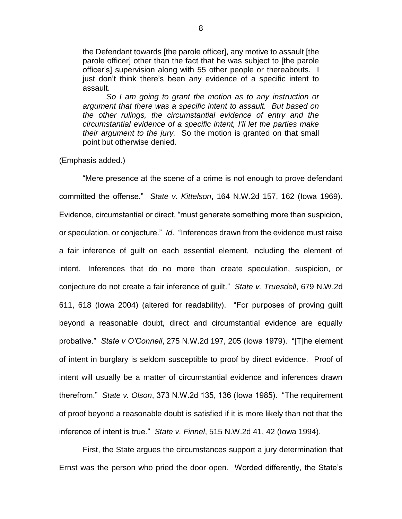the Defendant towards [the parole officer], any motive to assault [the parole officer] other than the fact that he was subject to [the parole officer's] supervision along with 55 other people or thereabouts. I just don't think there's been any evidence of a specific intent to assault.

*So I am going to grant the motion as to any instruction or argument that there was a specific intent to assault. But based on the other rulings, the circumstantial evidence of entry and the circumstantial evidence of a specific intent, I'll let the parties make their argument to the jury.* So the motion is granted on that small point but otherwise denied.

# (Emphasis added.)

"Mere presence at the scene of a crime is not enough to prove defendant committed the offense." *State v. Kittelson*, 164 N.W.2d 157, 162 (Iowa 1969). Evidence, circumstantial or direct, "must generate something more than suspicion, or speculation, or conjecture." *Id*. "Inferences drawn from the evidence must raise a fair inference of guilt on each essential element, including the element of intent. Inferences that do no more than create speculation, suspicion, or conjecture do not create a fair inference of guilt." *State v. Truesdell*, 679 N.W.2d 611, 618 (Iowa 2004) (altered for readability). "For purposes of proving guilt beyond a reasonable doubt, direct and circumstantial evidence are equally probative." *State v O'Connell*, 275 N.W.2d 197, 205 (Iowa 1979). "[T]he element of intent in burglary is seldom susceptible to proof by direct evidence. Proof of intent will usually be a matter of circumstantial evidence and inferences drawn therefrom." *State v. Olson*, 373 N.W.2d 135, 136 (Iowa 1985). "The requirement of proof beyond a reasonable doubt is satisfied if it is more likely than not that the inference of intent is true." *State v. Finnel*, 515 N.W.2d 41, 42 (Iowa 1994).

First, the State argues the circumstances support a jury determination that Ernst was the person who pried the door open. Worded differently, the State's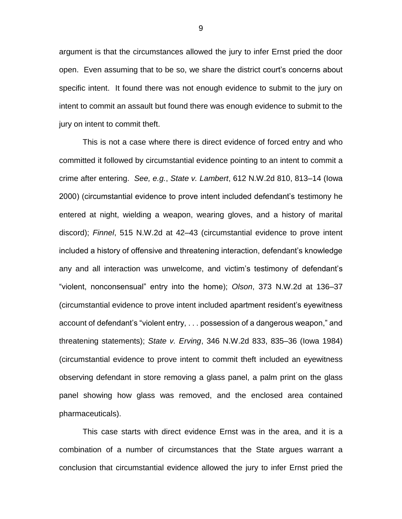argument is that the circumstances allowed the jury to infer Ernst pried the door open. Even assuming that to be so, we share the district court's concerns about specific intent. It found there was not enough evidence to submit to the jury on intent to commit an assault but found there was enough evidence to submit to the jury on intent to commit theft.

This is not a case where there is direct evidence of forced entry and who committed it followed by circumstantial evidence pointing to an intent to commit a crime after entering. *See, e.g.*, *State v. Lambert*, 612 N.W.2d 810, 813–14 (Iowa 2000) (circumstantial evidence to prove intent included defendant's testimony he entered at night, wielding a weapon, wearing gloves, and a history of marital discord); *Finnel*, 515 N.W.2d at 42–43 (circumstantial evidence to prove intent included a history of offensive and threatening interaction, defendant's knowledge any and all interaction was unwelcome, and victim's testimony of defendant's "violent, nonconsensual" entry into the home); *Olson*, 373 N.W.2d at 136–37 (circumstantial evidence to prove intent included apartment resident's eyewitness account of defendant's "violent entry, . . . possession of a dangerous weapon," and threatening statements); *State v. Erving*, 346 N.W.2d 833, 835–36 (Iowa 1984) (circumstantial evidence to prove intent to commit theft included an eyewitness observing defendant in store removing a glass panel, a palm print on the glass panel showing how glass was removed, and the enclosed area contained pharmaceuticals).

This case starts with direct evidence Ernst was in the area, and it is a combination of a number of circumstances that the State argues warrant a conclusion that circumstantial evidence allowed the jury to infer Ernst pried the